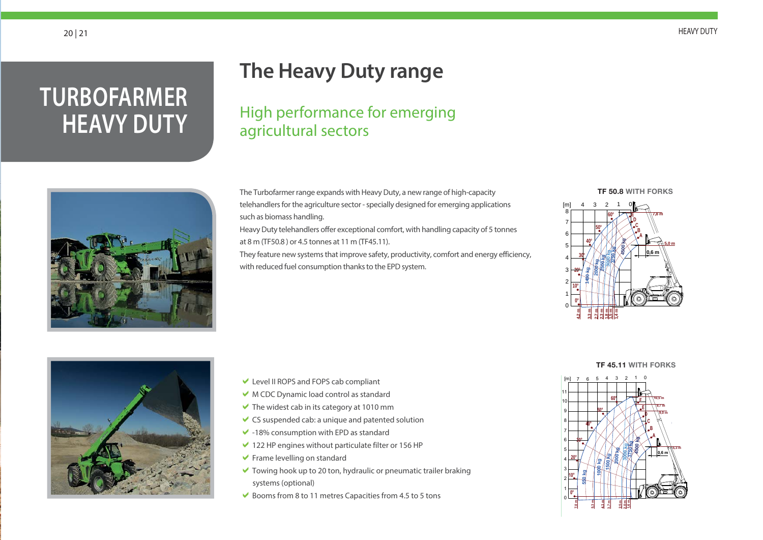## **TURBOFARMER HEAVY DUTY**

## **The Heavy Duty range**

High performance for emerging agricultural sectors

The Turbofarmer range expands with Heavy Duty, a new range of high-capacity telehandlers for the agriculture sector - specially designed for emerging applications such as biomass handling.

Heavy Duty telehandlers offer exceptional comfort, with handling capacity of 5 tonnes at 8 m (TF50.8 ) or 4.5 tonnes at 11 m (TF45.11).

They feature new systems that improve safety, productivity, comfort and energy efficiency, with reduced fuel consumption thanks to the EPD system.













- Level II ROPS and FOPS cab compliant
- M CDC Dynamic load control as standard
- $\blacktriangleright$  The widest cab in its category at 1010 mm
- $\vee$  CS suspended cab: a unique and patented solution
- $\vee$  -18% consumption with EPD as standard
- $\vee$  122 HP engines without particulate filter or 156 HP
- **Frame levelling on standard**
- Towing hook up to 20 ton, hydraulic or pneumatic trailer braking systems (optional)
- $\blacktriangleright$  Booms from 8 to 11 metres Capacities from 4.5 to 5 tons